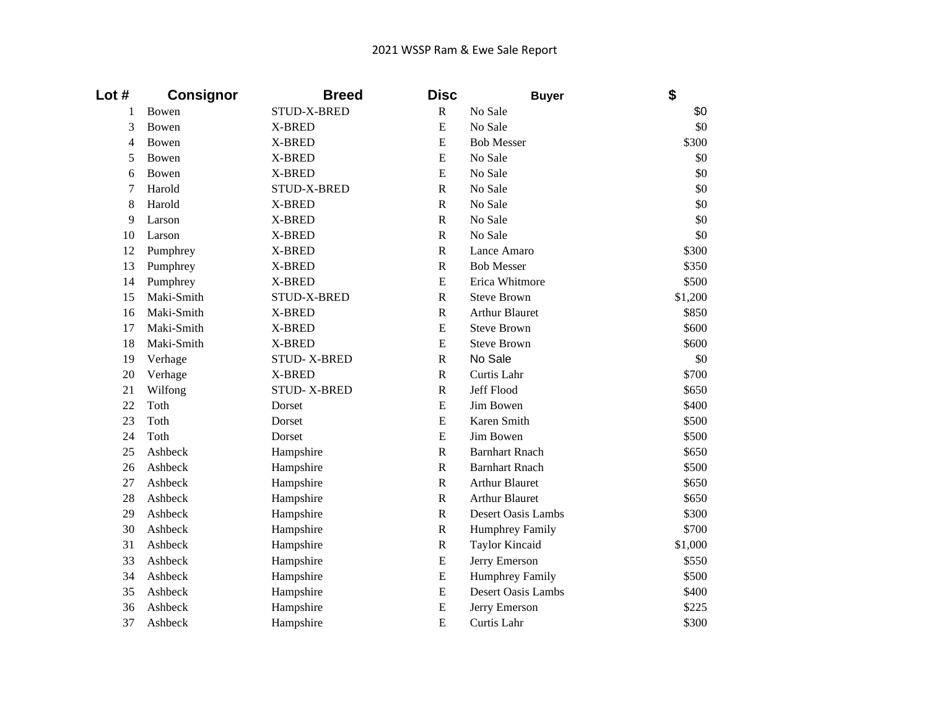## 2021 WSSP Ram & Ewe Sale Report

| Lot #  | <b>Consignor</b> | <b>Breed</b>       | <b>Disc</b>             | <b>Buyer</b>           | \$      |
|--------|------------------|--------------------|-------------------------|------------------------|---------|
| 1      | Bowen            | STUD-X-BRED        | $\mathbb{R}$            | No Sale                | \$0     |
| 3      | Bowen            | X-BRED             | E                       | No Sale                | \$0     |
| 4      | Bowen            | X-BRED             | E                       | <b>Bob Messer</b>      | \$300   |
| 5      | Bowen            | X-BRED             | $\overline{E}$          | No Sale                | \$0     |
| 6      | Bowen            | X-BRED             | E                       | No Sale                | \$0     |
| $\tau$ | Harold           | STUD-X-BRED        | $\mathbf R$             | No Sale                | \$0     |
| 8      | Harold           | X-BRED             | $\mathbf R$             | No Sale                | \$0     |
| 9      | Larson           | X-BRED             | $\mathbf R$             | No Sale                | \$0     |
| 10     | Larson           | X-BRED             | $\mathbf R$             | No Sale                | \$0     |
| 12     | Pumphrey         | X-BRED             | $\mathbf R$             | Lance Amaro            | \$300   |
| 13     | Pumphrey         | X-BRED             | $\overline{\mathsf{R}}$ | <b>Bob Messer</b>      | \$350   |
| 14     | Pumphrey         | X-BRED             | E                       | Erica Whitmore         | \$500   |
| 15     | Maki-Smith       | STUD-X-BRED        | ${\bf R}$               | <b>Steve Brown</b>     | \$1,200 |
| 16     | Maki-Smith       | X-BRED             | ${\bf R}$               | <b>Arthur Blauret</b>  | \$850   |
| 17     | Maki-Smith       | X-BRED             | E                       | <b>Steve Brown</b>     | \$600   |
| 18     | Maki-Smith       | X-BRED             | E                       | <b>Steve Brown</b>     | \$600   |
| 19     | Verhage          | <b>STUD-X-BRED</b> | ${\bf R}$               | No Sale                | \$0     |
| 20     | Verhage          | X-BRED             | $\mathbf R$             | Curtis Lahr            | \$700   |
| 21     | Wilfong          | <b>STUD-X-BRED</b> | ${\bf R}$               | Jeff Flood             | \$650   |
| 22     | Toth             | Dorset             | E                       | Jim Bowen              | \$400   |
| 23     | Toth             | Dorset             | ${\bf E}$               | Karen Smith            | \$500   |
| 24     | Toth             | Dorset             | E                       | Jim Bowen              | \$500   |
| 25     | Ashbeck          | Hampshire          | ${\bf R}$               | <b>Barnhart Rnach</b>  | \$650   |
| 26     | Ashbeck          | Hampshire          | $\mathbf R$             | <b>Barnhart Rnach</b>  | \$500   |
| 27     | Ashbeck          | Hampshire          | $\mathbf R$             | <b>Arthur Blauret</b>  | \$650   |
| 28     | Ashbeck          | Hampshire          | $\mathbf R$             | <b>Arthur Blauret</b>  | \$650   |
| 29     | Ashbeck          | Hampshire          | ${\bf R}$               | Desert Oasis Lambs     | \$300   |
| 30     | Ashbeck          | Hampshire          | $\, {\bf R}$            | <b>Humphrey Family</b> | \$700   |
| 31     | Ashbeck          | Hampshire          | ${\bf R}$               | <b>Taylor Kincaid</b>  | \$1,000 |
| 33     | Ashbeck          | Hampshire          | ${\bf E}$               | Jerry Emerson          | \$550   |
| 34     | Ashbeck          | Hampshire          | ${\bf E}$               | <b>Humphrey Family</b> | \$500   |
| 35     | Ashbeck          | Hampshire          | E                       | Desert Oasis Lambs     | \$400   |
| 36     | Ashbeck          | Hampshire          | E                       | Jerry Emerson          | \$225   |
| 37     | Ashbeck          | Hampshire          | E                       | Curtis Lahr            | \$300   |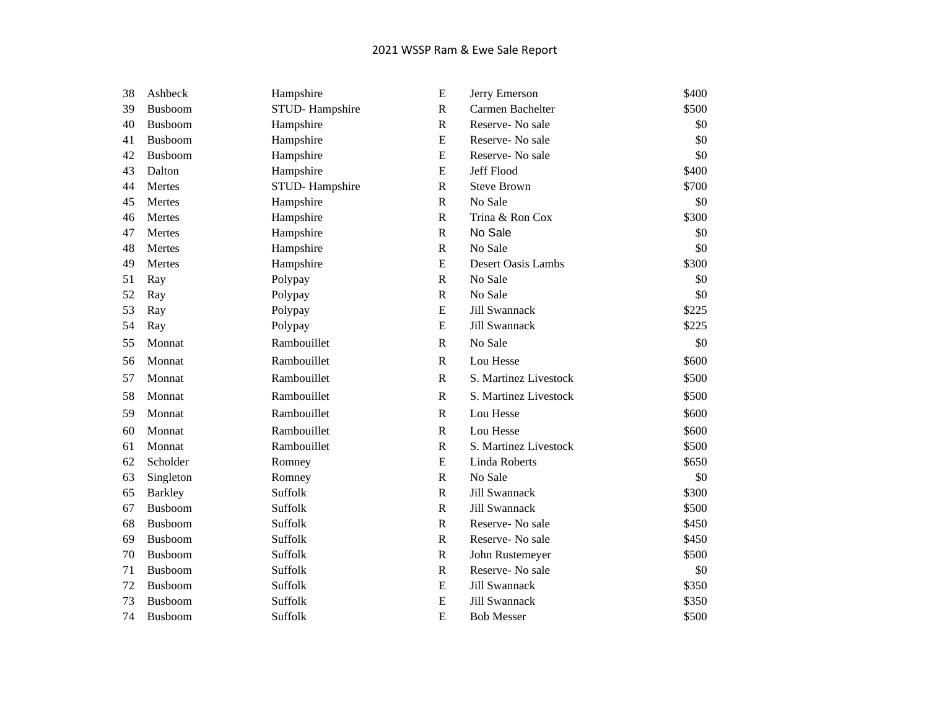## 2021 WSSP Ram & Ewe Sale Report

| 38 | Ashbeck        | Hampshire      | E            | Jerry Emerson             | \$400 |
|----|----------------|----------------|--------------|---------------------------|-------|
| 39 | Busboom        | STUD-Hampshire | ${\bf R}$    | Carmen Bachelter          | \$500 |
| 40 | Busboom        | Hampshire      | ${\bf R}$    | Reserve- No sale          | \$0   |
| 41 | Busboom        | Hampshire      | ${\bf E}$    | Reserve-No sale           | \$0   |
| 42 | Busboom        | Hampshire      | E            | Reserve-No sale           | \$0   |
| 43 | Dalton         | Hampshire      | ${\bf E}$    | Jeff Flood                | \$400 |
| 44 | Mertes         | STUD-Hampshire | $\mathbf R$  | <b>Steve Brown</b>        | \$700 |
| 45 | Mertes         | Hampshire      | $\mathbb{R}$ | No Sale                   | \$0   |
| 46 | Mertes         | Hampshire      | $\mathbb{R}$ | Trina & Ron Cox           | \$300 |
| 47 | Mertes         | Hampshire      | ${\bf R}$    | No Sale                   | \$0   |
| 48 | Mertes         | Hampshire      | ${\bf R}$    | No Sale                   | \$0   |
| 49 | Mertes         | Hampshire      | ${\bf E}$    | <b>Desert Oasis Lambs</b> | \$300 |
| 51 | Ray            | Polypay        | $\mathbf R$  | No Sale                   | \$0   |
| 52 | Ray            | Polypay        | ${\bf R}$    | No Sale                   | \$0   |
| 53 | Ray            | Polypay        | ${\bf E}$    | Jill Swannack             | \$225 |
| 54 | Ray            | Polypay        | ${\bf E}$    | Jill Swannack             | \$225 |
| 55 | Monnat         | Rambouillet    | $\mathbb{R}$ | No Sale                   | \$0   |
| 56 | Monnat         | Rambouillet    | $\mathbb{R}$ | Lou Hesse                 | \$600 |
| 57 | Monnat         | Rambouillet    | $\mathbb{R}$ | S. Martinez Livestock     | \$500 |
| 58 | Monnat         | Rambouillet    | $\mathbb{R}$ | S. Martinez Livestock     | \$500 |
| 59 | Monnat         | Rambouillet    | $\mathbb{R}$ | Lou Hesse                 | \$600 |
| 60 | Monnat         | Rambouillet    | $\mathbb{R}$ | Lou Hesse                 | \$600 |
| 61 | Monnat         | Rambouillet    | $\mathbb{R}$ | S. Martinez Livestock     | \$500 |
| 62 | Scholder       | Romney         | ${\bf E}$    | Linda Roberts             | \$650 |
| 63 | Singleton      | Romney         | ${\bf R}$    | No Sale                   | \$0   |
| 65 | <b>Barkley</b> | Suffolk        | $\mathbf R$  | Jill Swannack             | \$300 |
| 67 | Busboom        | Suffolk        | $\mathbf R$  | Jill Swannack             | \$500 |
| 68 | Busboom        | Suffolk        | ${\bf R}$    | Reserve- No sale          | \$450 |
| 69 | Busboom        | Suffolk        | ${\bf R}$    | Reserve- No sale          | \$450 |
| 70 | Busboom        | Suffolk        | $\mathbb{R}$ | John Rustemeyer           | \$500 |
| 71 | Busboom        | Suffolk        | $\mathbb{R}$ | Reserve-No sale           | \$0   |
| 72 | Busboom        | Suffolk        | ${\bf E}$    | Jill Swannack             | \$350 |
| 73 | Busboom        | Suffolk        | ${\bf E}$    | Jill Swannack             | \$350 |
| 74 | <b>Busboom</b> | Suffolk        | E            | <b>Bob Messer</b>         | \$500 |